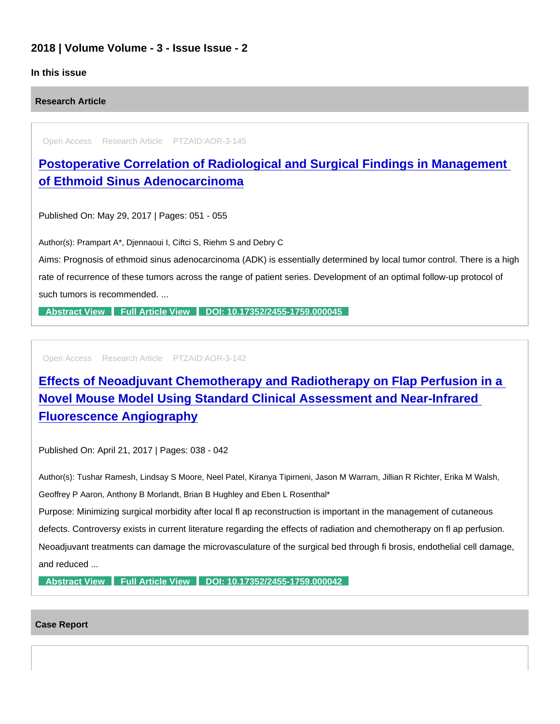### 2018 | Volume Volume - 3 - Issue Issue - 2

### In this issue

Research Article

Open Access Research Article PTZAID:AOR-3-145

[Postoperative Correlation of Radiological and Surgical Findings in Management](https://www.peertechzpublications.com/articles/postoperative-correlation-of-radiological-and-surgical-findings-in-management-of-ethmoid-sinus-adenocarcinoma)  of Ethmoid Sinus Adenocarcinoma

Published On: May 29, 2017 | Pages: 051 - 055

Author(s): Prampart A\*, Djennaoui I, Ciftci S, Riehm S and Debry C

Aims: Prognosis of ethmoid sinus adenocarcinoma (ADK) is essentially determined by local tumor control. There is a high rate of recurrence of these tumors across the range of patient series. Development of an optimal follow-up protocol of such tumors is recommended. ...

[Abstract View](https://www.peertechzpublications.com/abstracts/postoperative-correlation-of-radiological-and-surgical-findings-in-management-of-ethmoid-sinus-adenocarcinoma) [Full Article View](https://www.peertechzpublications.com/articles/postoperative-correlation-of-radiological-and-surgical-findings-in-management-of-ethmoid-sinus-adenocarcinoma) [DOI: 10.17352/2455-1759.000045](http://dx.doi.org/10.17352/2455-1759.000045)

Open Access Research Article PTZAID:AOR-3-142

[Effects of Neoadjuvant Chemotherapy and Radiotherapy on Flap Perfusion in a](https://www.peertechzpublications.com/articles/effects-of-neoadjuvant-chemotherapy-and-radiotherapy-on-flap-perfusion-in-a-novel-mouse-model-using-standard-clinical-assessment-and-near-infrared-fluorescence-angiography)  Novel Mouse Model Using Standard Clinical Assessment and Near-Infrared Fluorescence Angiography

Published On: April 21, 2017 | Pages: 038 - 042

Author(s): Tushar Ramesh, Lindsay S Moore, Neel Patel, Kiranya Tipirneni, Jason M Warram, Jillian R Richter, Erika M Walsh, Geoffrey P Aaron, Anthony B Morlandt, Brian B Hughley and Eben L Rosenthal\* Purpose: Minimizing surgical morbidity after local fl ap reconstruction is important in the management of cutaneous defects. Controversy exists in current literature regarding the effects of radiation and chemotherapy on fl ap perfusion. Neoadjuvant treatments can damage the microvasculature of the surgical bed through fi brosis, endothelial cell damage,

and reduced ...

[Abstract View](https://www.peertechzpublications.com/abstracts/effects-of-neoadjuvant-chemotherapy-and-radiotherapy-on-flap-perfusion-in-a-novel-mouse-model-using-standard-clinical-assessment-and-near-infrared-fluorescence-angiography) [Full Article View](https://www.peertechzpublications.com/articles/effects-of-neoadjuvant-chemotherapy-and-radiotherapy-on-flap-perfusion-in-a-novel-mouse-model-using-standard-clinical-assessment-and-near-infrared-fluorescence-angiography) [DOI: 10.17352/2455-1759.000042](http://dx.doi.org/10.17352/2455-1759.000042)

#### Case Report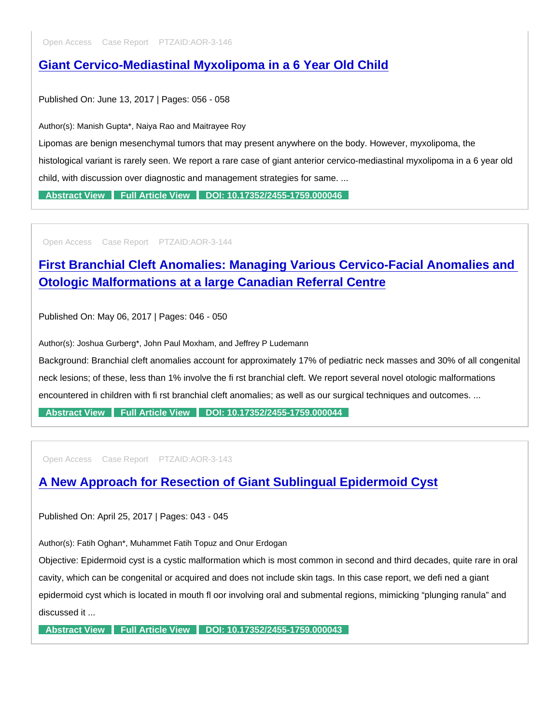Open Access Case Report PTZAID:AOR-3-146

## [Giant Cervico-Mediastinal Myxolipoma in a 6 Year Old Child](https://www.peertechzpublications.com/articles/giant-cervico-mediastinal-myxolipoma-in-a-6-year-old-child)

Published On: June 13, 2017 | Pages: 056 - 058

Author(s): Manish Gupta\*, Naiya Rao and Maitrayee Roy

Lipomas are benign mesenchymal tumors that may present anywhere on the body. However, myxolipoma, the

histological variant is rarely seen. We report a rare case of giant anterior cervico-mediastinal myxolipoma in a 6 year old child, with discussion over diagnostic and management strategies for same. ...

[Abstract View](https://www.peertechzpublications.com/abstracts/giant-cervico-mediastinal-myxolipoma-in-a-6-year-old-child) [Full Article View](https://www.peertechzpublications.com/articles/giant-cervico-mediastinal-myxolipoma-in-a-6-year-old-child) [DOI: 10.17352/2455-1759.000046](http://dx.doi.org/10.17352/2455-1759.000046)

Open Access Case Report PTZAID:AOR-3-144

## [First Branchial Cleft Anomalies: Managing Various Cervico-Facial Anomalies and](https://www.peertechzpublications.com/articles/first-branchial-cleft-anomalies-managing-various-cervico-facial-anomalies-and-otologic-malformations-at-a-large-canadian-referral-centre)  Otologic Malformations at a large Canadian Referral Centre

Published On: May 06, 2017 | Pages: 046 - 050

Author(s): Joshua Gurberg\*, John Paul Moxham, and Jeffrey P Ludemann

Background: Branchial cleft anomalies account for approximately 17% of pediatric neck masses and 30% of all congenital

neck lesions; of these, less than 1% involve the fi rst branchial cleft. We report several novel otologic malformations

encountered in children with fi rst branchial cleft anomalies; as well as our surgical techniques and outcomes. ...

[Abstract View](https://www.peertechzpublications.com/abstracts/first-branchial-cleft-anomalies-managing-various-cervico-facial-anomalies-and-otologic-malformations-at-a-large-canadian-referral-centre) [Full Article View](https://www.peertechzpublications.com/articles/first-branchial-cleft-anomalies-managing-various-cervico-facial-anomalies-and-otologic-malformations-at-a-large-canadian-referral-centre) [DOI: 10.17352/2455-1759.000044](http://dx.doi.org/10.17352/2455-1759.000044)

Open Access Case Report PTZAID:AOR-3-143

## [A New Approach for Resection of Giant Sublingual Epidermoid Cyst](https://www.peertechzpublications.com/articles/a-new-approach-for-resection-of-giant-sublingual-epidermoid-cyst)

Published On: April 25, 2017 | Pages: 043 - 045

Author(s): Fatih Oghan\*, Muhammet Fatih Topuz and Onur Erdogan

Objective: Epidermoid cyst is a cystic malformation which is most common in second and third decades, quite rare in oral cavity, which can be congenital or acquired and does not include skin tags. In this case report, we defi ned a giant epidermoid cyst which is located in mouth fl oor involving oral and submental regions, mimicking "plunging ranula" and discussed it ...

[Abstract View](https://www.peertechzpublications.com/abstracts/a-new-approach-for-resection-of-giant-sublingual-epidermoid-cyst) [Full Article View](https://www.peertechzpublications.com/articles/a-new-approach-for-resection-of-giant-sublingual-epidermoid-cyst) [DOI: 10.17352/2455-1759.000043](http://dx.doi.org/10.17352/2455-1759.000043)